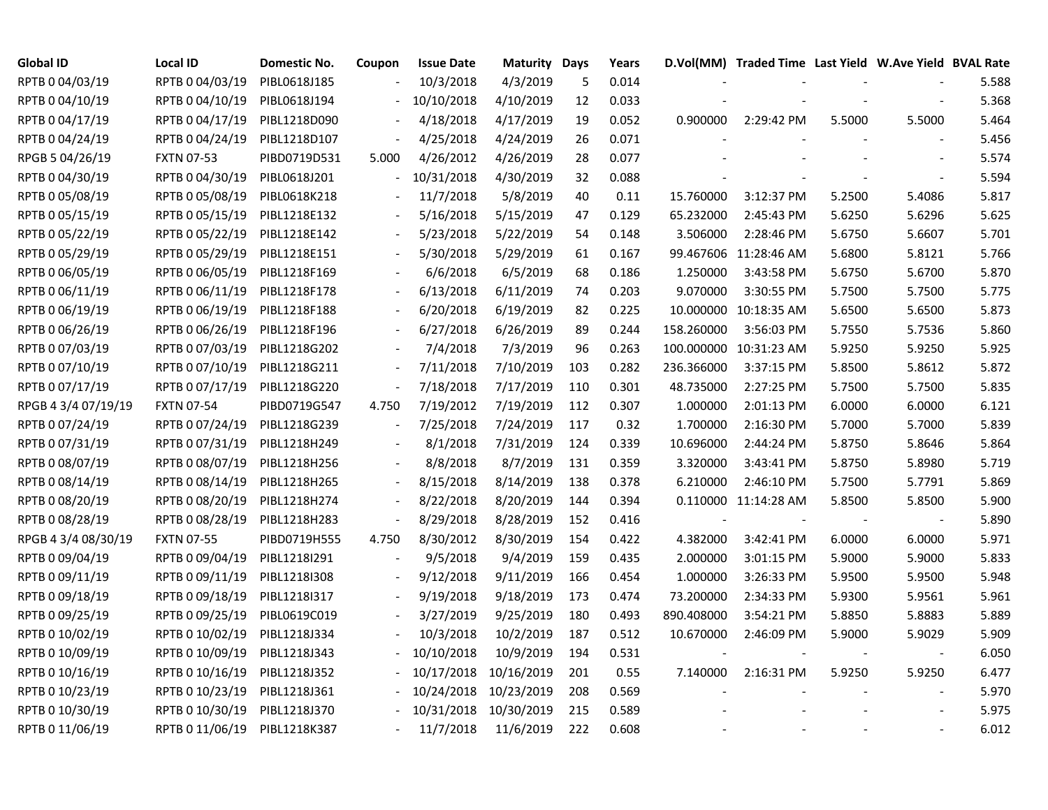| <b>Global ID</b>    | <b>Local ID</b>   | <b>Domestic No.</b> | Coupon                   | <b>Issue Date</b> | <b>Maturity Days</b> |     | Years |                          | D.Vol(MM) Traded Time Last Yield W.Ave Yield BVAL Rate |        |                          |       |
|---------------------|-------------------|---------------------|--------------------------|-------------------|----------------------|-----|-------|--------------------------|--------------------------------------------------------|--------|--------------------------|-------|
| RPTB 0 04/03/19     | RPTB 0 04/03/19   | PIBL0618J185        |                          | 10/3/2018         | 4/3/2019             | 5   | 0.014 |                          |                                                        |        |                          | 5.588 |
| RPTB 0 04/10/19     | RPTB 0 04/10/19   | PIBL0618J194        | $\overline{\phantom{a}}$ | 10/10/2018        | 4/10/2019            | 12  | 0.033 |                          |                                                        |        |                          | 5.368 |
| RPTB 0 04/17/19     | RPTB 0 04/17/19   | PIBL1218D090        |                          | 4/18/2018         | 4/17/2019            | 19  | 0.052 | 0.900000                 | 2:29:42 PM                                             | 5.5000 | 5.5000                   | 5.464 |
| RPTB 0 04/24/19     | RPTB 0 04/24/19   | PIBL1218D107        |                          | 4/25/2018         | 4/24/2019            | 26  | 0.071 |                          |                                                        |        |                          | 5.456 |
| RPGB 5 04/26/19     | <b>FXTN 07-53</b> | PIBD0719D531        | 5.000                    | 4/26/2012         | 4/26/2019            | 28  | 0.077 |                          |                                                        |        |                          | 5.574 |
| RPTB 0 04/30/19     | RPTB 0 04/30/19   | PIBL0618J201        |                          | 10/31/2018        | 4/30/2019            | 32  | 0.088 |                          |                                                        |        |                          | 5.594 |
| RPTB 0 05/08/19     | RPTB 0 05/08/19   | PIBL0618K218        |                          | 11/7/2018         | 5/8/2019             | 40  | 0.11  | 15.760000                | 3:12:37 PM                                             | 5.2500 | 5.4086                   | 5.817 |
| RPTB 0 05/15/19     | RPTB 0 05/15/19   | PIBL1218E132        |                          | 5/16/2018         | 5/15/2019            | 47  | 0.129 | 65.232000                | 2:45:43 PM                                             | 5.6250 | 5.6296                   | 5.625 |
| RPTB 0 05/22/19     | RPTB 0 05/22/19   | PIBL1218E142        |                          | 5/23/2018         | 5/22/2019            | 54  | 0.148 | 3.506000                 | 2:28:46 PM                                             | 5.6750 | 5.6607                   | 5.701 |
| RPTB 0 05/29/19     | RPTB 0 05/29/19   | PIBL1218E151        |                          | 5/30/2018         | 5/29/2019            | 61  | 0.167 |                          | 99.467606 11:28:46 AM                                  | 5.6800 | 5.8121                   | 5.766 |
| RPTB 0 06/05/19     | RPTB 0 06/05/19   | PIBL1218F169        | $\overline{\phantom{a}}$ | 6/6/2018          | 6/5/2019             | 68  | 0.186 | 1.250000                 | 3:43:58 PM                                             | 5.6750 | 5.6700                   | 5.870 |
| RPTB 0 06/11/19     | RPTB 0 06/11/19   | PIBL1218F178        | $\overline{\phantom{a}}$ | 6/13/2018         | 6/11/2019            | 74  | 0.203 | 9.070000                 | 3:30:55 PM                                             | 5.7500 | 5.7500                   | 5.775 |
| RPTB 0 06/19/19     | RPTB 0 06/19/19   | PIBL1218F188        | $\overline{\phantom{a}}$ | 6/20/2018         | 6/19/2019            | 82  | 0.225 |                          | 10.000000 10:18:35 AM                                  | 5.6500 | 5.6500                   | 5.873 |
| RPTB 0 06/26/19     | RPTB 0 06/26/19   | PIBL1218F196        | $\overline{a}$           | 6/27/2018         | 6/26/2019            | 89  | 0.244 | 158.260000               | 3:56:03 PM                                             | 5.7550 | 5.7536                   | 5.860 |
| RPTB 0 07/03/19     | RPTB 0 07/03/19   | PIBL1218G202        |                          | 7/4/2018          | 7/3/2019             | 96  | 0.263 |                          | 100.000000 10:31:23 AM                                 | 5.9250 | 5.9250                   | 5.925 |
| RPTB 0 07/10/19     | RPTB 0 07/10/19   | PIBL1218G211        |                          | 7/11/2018         | 7/10/2019            | 103 | 0.282 | 236.366000               | 3:37:15 PM                                             | 5.8500 | 5.8612                   | 5.872 |
| RPTB 0 07/17/19     | RPTB 0 07/17/19   | PIBL1218G220        |                          | 7/18/2018         | 7/17/2019            | 110 | 0.301 | 48.735000                | 2:27:25 PM                                             | 5.7500 | 5.7500                   | 5.835 |
| RPGB 4 3/4 07/19/19 | <b>FXTN 07-54</b> | PIBD0719G547        | 4.750                    | 7/19/2012         | 7/19/2019            | 112 | 0.307 | 1.000000                 | 2:01:13 PM                                             | 6.0000 | 6.0000                   | 6.121 |
| RPTB 0 07/24/19     | RPTB 0 07/24/19   | PIBL1218G239        | $\overline{\phantom{a}}$ | 7/25/2018         | 7/24/2019            | 117 | 0.32  | 1.700000                 | 2:16:30 PM                                             | 5.7000 | 5.7000                   | 5.839 |
| RPTB 0 07/31/19     | RPTB 0 07/31/19   | PIBL1218H249        | $\overline{\phantom{a}}$ | 8/1/2018          | 7/31/2019            | 124 | 0.339 | 10.696000                | 2:44:24 PM                                             | 5.8750 | 5.8646                   | 5.864 |
| RPTB 0 08/07/19     | RPTB 0 08/07/19   | PIBL1218H256        | $\sim$                   | 8/8/2018          | 8/7/2019             | 131 | 0.359 | 3.320000                 | 3:43:41 PM                                             | 5.8750 | 5.8980                   | 5.719 |
| RPTB 0 08/14/19     | RPTB 0 08/14/19   | PIBL1218H265        | $\overline{\phantom{a}}$ | 8/15/2018         | 8/14/2019            | 138 | 0.378 | 6.210000                 | 2:46:10 PM                                             | 5.7500 | 5.7791                   | 5.869 |
| RPTB 0 08/20/19     | RPTB 0 08/20/19   | PIBL1218H274        | $\overline{\phantom{a}}$ | 8/22/2018         | 8/20/2019            | 144 | 0.394 |                          | 0.110000 11:14:28 AM                                   | 5.8500 | 5.8500                   | 5.900 |
| RPTB 0 08/28/19     | RPTB 0 08/28/19   | PIBL1218H283        | $\overline{\phantom{a}}$ | 8/29/2018         | 8/28/2019            | 152 | 0.416 | $\overline{\phantom{a}}$ |                                                        |        | $\blacksquare$           | 5.890 |
| RPGB 4 3/4 08/30/19 | <b>FXTN 07-55</b> | PIBD0719H555        | 4.750                    | 8/30/2012         | 8/30/2019            | 154 | 0.422 | 4.382000                 | 3:42:41 PM                                             | 6.0000 | 6.0000                   | 5.971 |
| RPTB 0 09/04/19     | RPTB 0 09/04/19   | PIBL1218I291        |                          | 9/5/2018          | 9/4/2019             | 159 | 0.435 | 2.000000                 | 3:01:15 PM                                             | 5.9000 | 5.9000                   | 5.833 |
| RPTB 0 09/11/19     | RPTB 0 09/11/19   | PIBL1218I308        | $\overline{\phantom{a}}$ | 9/12/2018         | 9/11/2019            | 166 | 0.454 | 1.000000                 | 3:26:33 PM                                             | 5.9500 | 5.9500                   | 5.948 |
| RPTB 0 09/18/19     | RPTB 0 09/18/19   | PIBL1218I317        |                          | 9/19/2018         | 9/18/2019            | 173 | 0.474 | 73.200000                | 2:34:33 PM                                             | 5.9300 | 5.9561                   | 5.961 |
| RPTB 0 09/25/19     | RPTB 0 09/25/19   | PIBL0619C019        |                          | 3/27/2019         | 9/25/2019            | 180 | 0.493 | 890.408000               | 3:54:21 PM                                             | 5.8850 | 5.8883                   | 5.889 |
| RPTB 0 10/02/19     | RPTB 0 10/02/19   | PIBL1218J334        |                          | 10/3/2018         | 10/2/2019            | 187 | 0.512 | 10.670000                | 2:46:09 PM                                             | 5.9000 | 5.9029                   | 5.909 |
| RPTB 0 10/09/19     | RPTB 0 10/09/19   | PIBL1218J343        |                          | 10/10/2018        | 10/9/2019            | 194 | 0.531 |                          |                                                        |        | $\overline{\phantom{a}}$ | 6.050 |
| RPTB 0 10/16/19     | RPTB 0 10/16/19   | PIBL1218J352        |                          | 10/17/2018        | 10/16/2019           | 201 | 0.55  | 7.140000                 | 2:16:31 PM                                             | 5.9250 | 5.9250                   | 6.477 |
| RPTB 0 10/23/19     | RPTB 0 10/23/19   | PIBL1218J361        |                          | 10/24/2018        | 10/23/2019           | 208 | 0.569 |                          |                                                        |        |                          | 5.970 |
| RPTB 0 10/30/19     | RPTB 0 10/30/19   | PIBL1218J370        |                          | 10/31/2018        | 10/30/2019           | 215 | 0.589 |                          |                                                        |        |                          | 5.975 |
| RPTB 0 11/06/19     | RPTB 0 11/06/19   | PIBL1218K387        |                          | 11/7/2018         | 11/6/2019            | 222 | 0.608 |                          |                                                        |        |                          | 6.012 |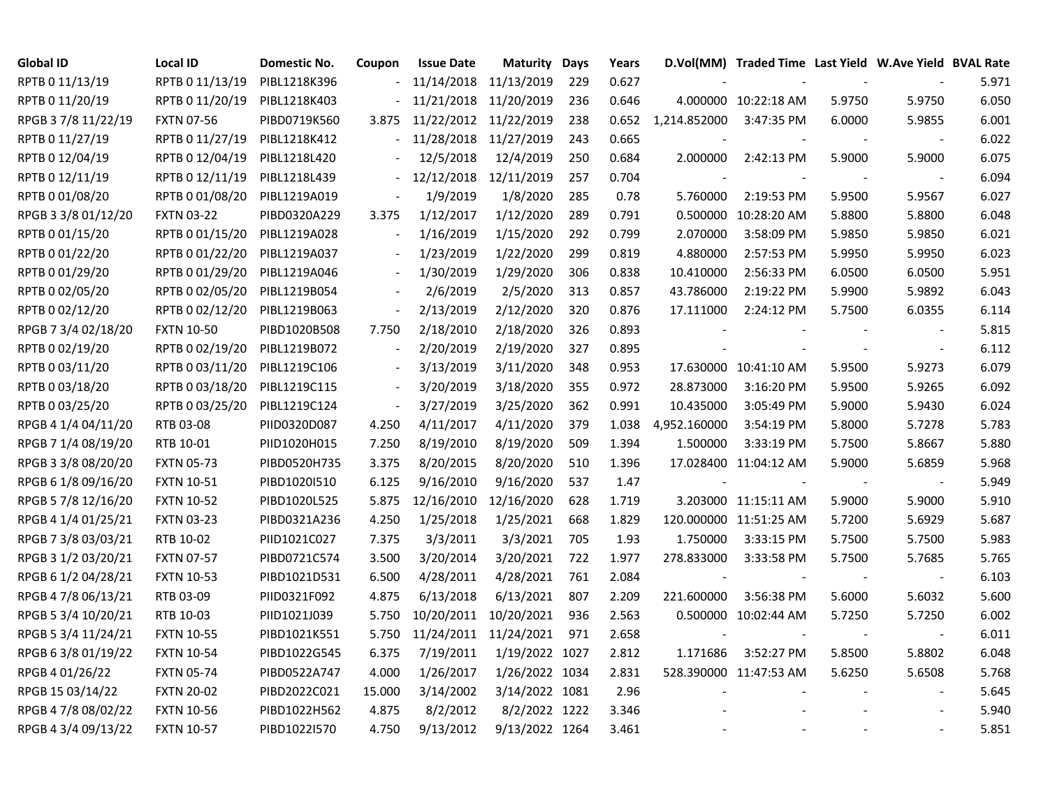| Global ID           | <b>Local ID</b>   | <b>Domestic No.</b> | Coupon                   | <b>Issue Date</b>     | <b>Maturity Days</b> |     | Years |                          | D.Vol(MM) Traded Time Last Yield W.Ave Yield BVAL Rate |        |                          |       |
|---------------------|-------------------|---------------------|--------------------------|-----------------------|----------------------|-----|-------|--------------------------|--------------------------------------------------------|--------|--------------------------|-------|
| RPTB 0 11/13/19     | RPTB 0 11/13/19   | PIBL1218K396        |                          | 11/14/2018 11/13/2019 |                      | 229 | 0.627 |                          |                                                        |        |                          | 5.971 |
| RPTB 0 11/20/19     | RPTB 0 11/20/19   | PIBL1218K403        |                          | 11/21/2018 11/20/2019 |                      | 236 | 0.646 |                          | 4.000000 10:22:18 AM                                   | 5.9750 | 5.9750                   | 6.050 |
| RPGB 37/8 11/22/19  | <b>FXTN 07-56</b> | PIBD0719K560        | 3.875                    | 11/22/2012 11/22/2019 |                      | 238 | 0.652 | 1,214.852000             | 3:47:35 PM                                             | 6.0000 | 5.9855                   | 6.001 |
| RPTB 0 11/27/19     | RPTB 0 11/27/19   | PIBL1218K412        |                          | 11/28/2018            | 11/27/2019           | 243 | 0.665 |                          |                                                        |        |                          | 6.022 |
| RPTB 0 12/04/19     | RPTB 0 12/04/19   | PIBL1218L420        |                          | 12/5/2018             | 12/4/2019            | 250 | 0.684 | 2.000000                 | 2:42:13 PM                                             | 5.9000 | 5.9000                   | 6.075 |
| RPTB 0 12/11/19     | RPTB 0 12/11/19   | PIBL1218L439        | $\overline{\phantom{a}}$ | 12/12/2018            | 12/11/2019           | 257 | 0.704 |                          |                                                        |        |                          | 6.094 |
| RPTB 0 01/08/20     | RPTB 0 01/08/20   | PIBL1219A019        |                          | 1/9/2019              | 1/8/2020             | 285 | 0.78  | 5.760000                 | 2:19:53 PM                                             | 5.9500 | 5.9567                   | 6.027 |
| RPGB 3 3/8 01/12/20 | <b>FXTN 03-22</b> | PIBD0320A229        | 3.375                    | 1/12/2017             | 1/12/2020            | 289 | 0.791 |                          | 0.500000 10:28:20 AM                                   | 5.8800 | 5.8800                   | 6.048 |
| RPTB 0 01/15/20     | RPTB 0 01/15/20   | PIBL1219A028        |                          | 1/16/2019             | 1/15/2020            | 292 | 0.799 | 2.070000                 | 3:58:09 PM                                             | 5.9850 | 5.9850                   | 6.021 |
| RPTB 0 01/22/20     | RPTB 0 01/22/20   | PIBL1219A037        |                          | 1/23/2019             | 1/22/2020            | 299 | 0.819 | 4.880000                 | 2:57:53 PM                                             | 5.9950 | 5.9950                   | 6.023 |
| RPTB 0 01/29/20     | RPTB 0 01/29/20   | PIBL1219A046        | $\overline{\phantom{a}}$ | 1/30/2019             | 1/29/2020            | 306 | 0.838 | 10.410000                | 2:56:33 PM                                             | 6.0500 | 6.0500                   | 5.951 |
| RPTB 0 02/05/20     | RPTB 0 02/05/20   | PIBL1219B054        | $\overline{\phantom{a}}$ | 2/6/2019              | 2/5/2020             | 313 | 0.857 | 43.786000                | 2:19:22 PM                                             | 5.9900 | 5.9892                   | 6.043 |
| RPTB 0 02/12/20     | RPTB 0 02/12/20   | PIBL1219B063        | $\overline{\phantom{a}}$ | 2/13/2019             | 2/12/2020            | 320 | 0.876 | 17.111000                | 2:24:12 PM                                             | 5.7500 | 6.0355                   | 6.114 |
| RPGB 7 3/4 02/18/20 | <b>FXTN 10-50</b> | PIBD1020B508        | 7.750                    | 2/18/2010             | 2/18/2020            | 326 | 0.893 |                          |                                                        |        |                          | 5.815 |
| RPTB 0 02/19/20     | RPTB 0 02/19/20   | PIBL1219B072        |                          | 2/20/2019             | 2/19/2020            | 327 | 0.895 |                          |                                                        |        | $\overline{\phantom{a}}$ | 6.112 |
| RPTB 0 03/11/20     | RPTB 0 03/11/20   | PIBL1219C106        |                          | 3/13/2019             | 3/11/2020            | 348 | 0.953 |                          | 17.630000 10:41:10 AM                                  | 5.9500 | 5.9273                   | 6.079 |
| RPTB 0 03/18/20     | RPTB 0 03/18/20   | PIBL1219C115        |                          | 3/20/2019             | 3/18/2020            | 355 | 0.972 | 28.873000                | 3:16:20 PM                                             | 5.9500 | 5.9265                   | 6.092 |
| RPTB 0 03/25/20     | RPTB 0 03/25/20   | PIBL1219C124        | $\overline{\phantom{a}}$ | 3/27/2019             | 3/25/2020            | 362 | 0.991 | 10.435000                | 3:05:49 PM                                             | 5.9000 | 5.9430                   | 6.024 |
| RPGB 4 1/4 04/11/20 | RTB 03-08         | PIID0320D087        | 4.250                    | 4/11/2017             | 4/11/2020            | 379 | 1.038 | 4,952.160000             | 3:54:19 PM                                             | 5.8000 | 5.7278                   | 5.783 |
| RPGB 7 1/4 08/19/20 | RTB 10-01         | PIID1020H015        | 7.250                    | 8/19/2010             | 8/19/2020            | 509 | 1.394 | 1.500000                 | 3:33:19 PM                                             | 5.7500 | 5.8667                   | 5.880 |
| RPGB 3 3/8 08/20/20 | <b>FXTN 05-73</b> | PIBD0520H735        | 3.375                    | 8/20/2015             | 8/20/2020            | 510 | 1.396 |                          | 17.028400 11:04:12 AM                                  | 5.9000 | 5.6859                   | 5.968 |
| RPGB 6 1/8 09/16/20 | <b>FXTN 10-51</b> | PIBD1020I510        | 6.125                    | 9/16/2010             | 9/16/2020            | 537 | 1.47  |                          |                                                        |        | $\blacksquare$           | 5.949 |
| RPGB 5 7/8 12/16/20 | <b>FXTN 10-52</b> | PIBD1020L525        | 5.875                    | 12/16/2010            | 12/16/2020           | 628 | 1.719 |                          | 3.203000 11:15:11 AM                                   | 5.9000 | 5.9000                   | 5.910 |
| RPGB 4 1/4 01/25/21 | <b>FXTN 03-23</b> | PIBD0321A236        | 4.250                    | 1/25/2018             | 1/25/2021            | 668 | 1.829 |                          | 120.000000 11:51:25 AM                                 | 5.7200 | 5.6929                   | 5.687 |
| RPGB 7 3/8 03/03/21 | RTB 10-02         | PIID1021C027        | 7.375                    | 3/3/2011              | 3/3/2021             | 705 | 1.93  | 1.750000                 | 3:33:15 PM                                             | 5.7500 | 5.7500                   | 5.983 |
| RPGB 3 1/2 03/20/21 | <b>FXTN 07-57</b> | PIBD0721C574        | 3.500                    | 3/20/2014             | 3/20/2021            | 722 | 1.977 | 278.833000               | 3:33:58 PM                                             | 5.7500 | 5.7685                   | 5.765 |
| RPGB 6 1/2 04/28/21 | <b>FXTN 10-53</b> | PIBD1021D531        | 6.500                    | 4/28/2011             | 4/28/2021            | 761 | 2.084 | $\overline{\phantom{a}}$ |                                                        |        | $\blacksquare$           | 6.103 |
| RPGB 4 7/8 06/13/21 | RTB 03-09         | PIID0321F092        | 4.875                    | 6/13/2018             | 6/13/2021            | 807 | 2.209 | 221.600000               | 3:56:38 PM                                             | 5.6000 | 5.6032                   | 5.600 |
| RPGB 5 3/4 10/20/21 | RTB 10-03         | PIID1021J039        | 5.750                    | 10/20/2011            | 10/20/2021           | 936 | 2.563 |                          | 0.500000 10:02:44 AM                                   | 5.7250 | 5.7250                   | 6.002 |
| RPGB 5 3/4 11/24/21 | <b>FXTN 10-55</b> | PIBD1021K551        | 5.750                    | 11/24/2011            | 11/24/2021           | 971 | 2.658 |                          |                                                        |        | $\overline{\phantom{a}}$ | 6.011 |
| RPGB 63/8 01/19/22  | <b>FXTN 10-54</b> | PIBD1022G545        | 6.375                    | 7/19/2011             | 1/19/2022 1027       |     | 2.812 | 1.171686                 | 3:52:27 PM                                             | 5.8500 | 5.8802                   | 6.048 |
| RPGB 4 01/26/22     | <b>FXTN 05-74</b> | PIBD0522A747        | 4.000                    | 1/26/2017             | 1/26/2022 1034       |     | 2.831 |                          | 528.390000 11:47:53 AM                                 | 5.6250 | 5.6508                   | 5.768 |
| RPGB 15 03/14/22    | <b>FXTN 20-02</b> | PIBD2022C021        | 15.000                   | 3/14/2002             | 3/14/2022 1081       |     | 2.96  |                          |                                                        |        |                          | 5.645 |
| RPGB 4 7/8 08/02/22 | <b>FXTN 10-56</b> | PIBD1022H562        | 4.875                    | 8/2/2012              | 8/2/2022 1222        |     | 3.346 |                          |                                                        |        |                          | 5.940 |
| RPGB 4 3/4 09/13/22 | <b>FXTN 10-57</b> | PIBD1022I570        | 4.750                    | 9/13/2012             | 9/13/2022 1264       |     | 3.461 |                          |                                                        |        |                          | 5.851 |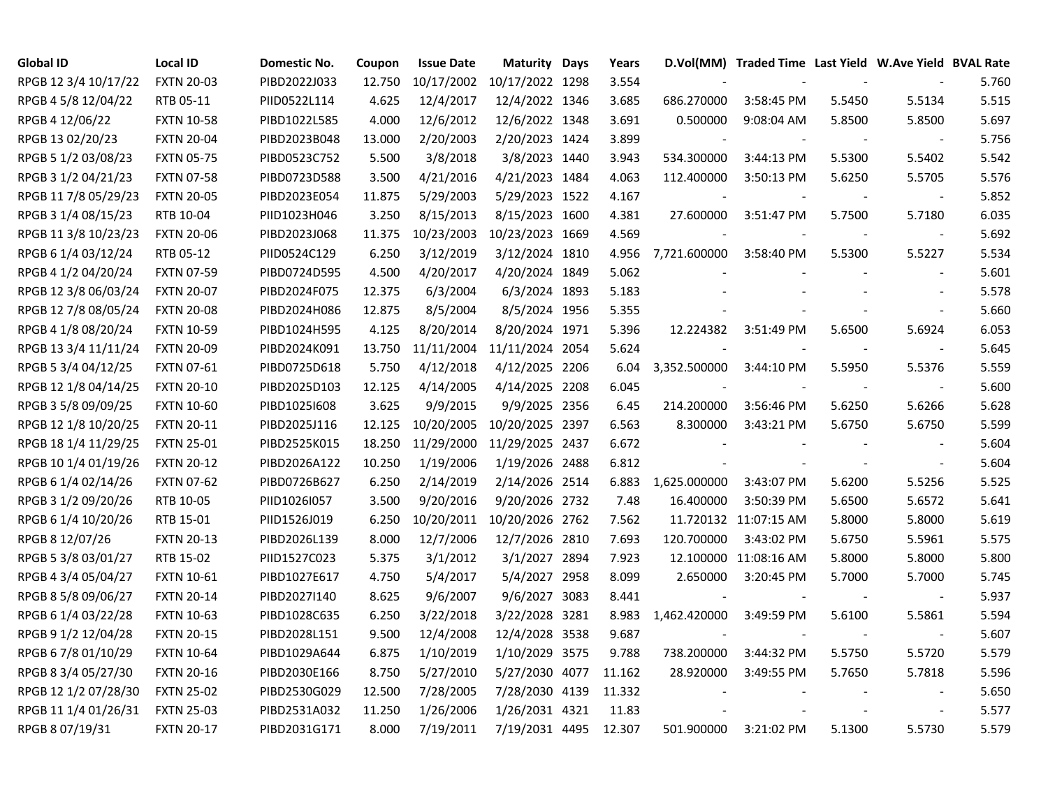| <b>Global ID</b>     | <b>Local ID</b>   | <b>Domestic No.</b> | Coupon | <b>Issue Date</b> | <b>Maturity Days</b> | Years  |              | D.Vol(MM) Traded Time Last Yield W.Ave Yield BVAL Rate |        |                          |       |
|----------------------|-------------------|---------------------|--------|-------------------|----------------------|--------|--------------|--------------------------------------------------------|--------|--------------------------|-------|
| RPGB 12 3/4 10/17/22 | <b>FXTN 20-03</b> | PIBD2022J033        | 12.750 | 10/17/2002        | 10/17/2022 1298      | 3.554  |              |                                                        |        |                          | 5.760 |
| RPGB 4 5/8 12/04/22  | RTB 05-11         | PIID0522L114        | 4.625  | 12/4/2017         | 12/4/2022 1346       | 3.685  | 686.270000   | 3:58:45 PM                                             | 5.5450 | 5.5134                   | 5.515 |
| RPGB 4 12/06/22      | <b>FXTN 10-58</b> | PIBD1022L585        | 4.000  | 12/6/2012         | 12/6/2022 1348       | 3.691  | 0.500000     | 9:08:04 AM                                             | 5.8500 | 5.8500                   | 5.697 |
| RPGB 13 02/20/23     | <b>FXTN 20-04</b> | PIBD2023B048        | 13.000 | 2/20/2003         | 2/20/2023 1424       | 3.899  |              |                                                        |        |                          | 5.756 |
| RPGB 5 1/2 03/08/23  | <b>FXTN 05-75</b> | PIBD0523C752        | 5.500  | 3/8/2018          | 3/8/2023 1440        | 3.943  | 534.300000   | 3:44:13 PM                                             | 5.5300 | 5.5402                   | 5.542 |
| RPGB 3 1/2 04/21/23  | <b>FXTN 07-58</b> | PIBD0723D588        | 3.500  | 4/21/2016         | 4/21/2023 1484       | 4.063  | 112.400000   | 3:50:13 PM                                             | 5.6250 | 5.5705                   | 5.576 |
| RPGB 11 7/8 05/29/23 | <b>FXTN 20-05</b> | PIBD2023E054        | 11.875 | 5/29/2003         | 5/29/2023 1522       | 4.167  |              |                                                        |        |                          | 5.852 |
| RPGB 3 1/4 08/15/23  | RTB 10-04         | PIID1023H046        | 3.250  | 8/15/2013         | 8/15/2023 1600       | 4.381  | 27.600000    | 3:51:47 PM                                             | 5.7500 | 5.7180                   | 6.035 |
| RPGB 11 3/8 10/23/23 | <b>FXTN 20-06</b> | PIBD2023J068        | 11.375 | 10/23/2003        | 10/23/2023 1669      | 4.569  |              |                                                        |        | $\blacksquare$           | 5.692 |
| RPGB 6 1/4 03/12/24  | RTB 05-12         | PIID0524C129        | 6.250  | 3/12/2019         | 3/12/2024 1810       | 4.956  | 7,721.600000 | 3:58:40 PM                                             | 5.5300 | 5.5227                   | 5.534 |
| RPGB 4 1/2 04/20/24  | <b>FXTN 07-59</b> | PIBD0724D595        | 4.500  | 4/20/2017         | 4/20/2024 1849       | 5.062  |              |                                                        |        | $\overline{\phantom{a}}$ | 5.601 |
| RPGB 12 3/8 06/03/24 | <b>FXTN 20-07</b> | PIBD2024F075        | 12.375 | 6/3/2004          | 6/3/2024 1893        | 5.183  |              |                                                        |        | $\blacksquare$           | 5.578 |
| RPGB 12 7/8 08/05/24 | <b>FXTN 20-08</b> | PIBD2024H086        | 12.875 | 8/5/2004          | 8/5/2024 1956        | 5.355  |              |                                                        |        | $\sim$                   | 5.660 |
| RPGB 4 1/8 08/20/24  | <b>FXTN 10-59</b> | PIBD1024H595        | 4.125  | 8/20/2014         | 8/20/2024 1971       | 5.396  | 12.224382    | 3:51:49 PM                                             | 5.6500 | 5.6924                   | 6.053 |
| RPGB 13 3/4 11/11/24 | <b>FXTN 20-09</b> | PIBD2024K091        | 13.750 | 11/11/2004        | 11/11/2024 2054      | 5.624  |              |                                                        |        |                          | 5.645 |
| RPGB 5 3/4 04/12/25  | <b>FXTN 07-61</b> | PIBD0725D618        | 5.750  | 4/12/2018         | 4/12/2025 2206       | 6.04   | 3,352.500000 | 3:44:10 PM                                             | 5.5950 | 5.5376                   | 5.559 |
| RPGB 12 1/8 04/14/25 | <b>FXTN 20-10</b> | PIBD2025D103        | 12.125 | 4/14/2005         | 4/14/2025 2208       | 6.045  |              |                                                        |        |                          | 5.600 |
| RPGB 3 5/8 09/09/25  | <b>FXTN 10-60</b> | PIBD1025I608        | 3.625  | 9/9/2015          | 9/9/2025 2356        | 6.45   | 214.200000   | 3:56:46 PM                                             | 5.6250 | 5.6266                   | 5.628 |
| RPGB 12 1/8 10/20/25 | <b>FXTN 20-11</b> | PIBD2025J116        | 12.125 | 10/20/2005        | 10/20/2025 2397      | 6.563  | 8.300000     | 3:43:21 PM                                             | 5.6750 | 5.6750                   | 5.599 |
| RPGB 18 1/4 11/29/25 | <b>FXTN 25-01</b> | PIBD2525K015        | 18.250 | 11/29/2000        | 11/29/2025 2437      | 6.672  |              |                                                        |        | $\overline{\phantom{a}}$ | 5.604 |
| RPGB 10 1/4 01/19/26 | <b>FXTN 20-12</b> | PIBD2026A122        | 10.250 | 1/19/2006         | 1/19/2026 2488       | 6.812  |              |                                                        |        | $\blacksquare$           | 5.604 |
| RPGB 6 1/4 02/14/26  | <b>FXTN 07-62</b> | PIBD0726B627        | 6.250  | 2/14/2019         | 2/14/2026 2514       | 6.883  | 1,625.000000 | 3:43:07 PM                                             | 5.6200 | 5.5256                   | 5.525 |
| RPGB 3 1/2 09/20/26  | RTB 10-05         | PIID1026I057        | 3.500  | 9/20/2016         | 9/20/2026 2732       | 7.48   | 16.400000    | 3:50:39 PM                                             | 5.6500 | 5.6572                   | 5.641 |
| RPGB 6 1/4 10/20/26  | RTB 15-01         | PIID1526J019        | 6.250  | 10/20/2011        | 10/20/2026 2762      | 7.562  |              | 11.720132 11:07:15 AM                                  | 5.8000 | 5.8000                   | 5.619 |
| RPGB 8 12/07/26      | <b>FXTN 20-13</b> | PIBD2026L139        | 8.000  | 12/7/2006         | 12/7/2026 2810       | 7.693  | 120.700000   | 3:43:02 PM                                             | 5.6750 | 5.5961                   | 5.575 |
| RPGB 5 3/8 03/01/27  | RTB 15-02         | PIID1527C023        | 5.375  | 3/1/2012          | 3/1/2027 2894        | 7.923  |              | 12.100000 11:08:16 AM                                  | 5.8000 | 5.8000                   | 5.800 |
| RPGB 4 3/4 05/04/27  | <b>FXTN 10-61</b> | PIBD1027E617        | 4.750  | 5/4/2017          | 5/4/2027 2958        | 8.099  | 2.650000     | 3:20:45 PM                                             | 5.7000 | 5.7000                   | 5.745 |
| RPGB 8 5/8 09/06/27  | <b>FXTN 20-14</b> | PIBD2027I140        | 8.625  | 9/6/2007          | 9/6/2027 3083        | 8.441  |              |                                                        |        |                          | 5.937 |
| RPGB 6 1/4 03/22/28  | <b>FXTN 10-63</b> | PIBD1028C635        | 6.250  | 3/22/2018         | 3/22/2028 3281       | 8.983  | 1,462.420000 | 3:49:59 PM                                             | 5.6100 | 5.5861                   | 5.594 |
| RPGB 9 1/2 12/04/28  | <b>FXTN 20-15</b> | PIBD2028L151        | 9.500  | 12/4/2008         | 12/4/2028 3538       | 9.687  |              |                                                        |        |                          | 5.607 |
| RPGB 67/8 01/10/29   | <b>FXTN 10-64</b> | PIBD1029A644        | 6.875  | 1/10/2019         | 1/10/2029 3575       | 9.788  | 738.200000   | 3:44:32 PM                                             | 5.5750 | 5.5720                   | 5.579 |
| RPGB 8 3/4 05/27/30  | <b>FXTN 20-16</b> | PIBD2030E166        | 8.750  | 5/27/2010         | 5/27/2030 4077       | 11.162 | 28.920000    | 3:49:55 PM                                             | 5.7650 | 5.7818                   | 5.596 |
| RPGB 12 1/2 07/28/30 | <b>FXTN 25-02</b> | PIBD2530G029        | 12.500 | 7/28/2005         | 7/28/2030 4139       | 11.332 |              |                                                        |        |                          | 5.650 |
| RPGB 11 1/4 01/26/31 | <b>FXTN 25-03</b> | PIBD2531A032        | 11.250 | 1/26/2006         | 1/26/2031 4321       | 11.83  |              |                                                        |        | $\overline{\phantom{a}}$ | 5.577 |
| RPGB 8 07/19/31      | <b>FXTN 20-17</b> | PIBD2031G171        | 8.000  | 7/19/2011         | 7/19/2031 4495       | 12.307 | 501.900000   | 3:21:02 PM                                             | 5.1300 | 5.5730                   | 5.579 |